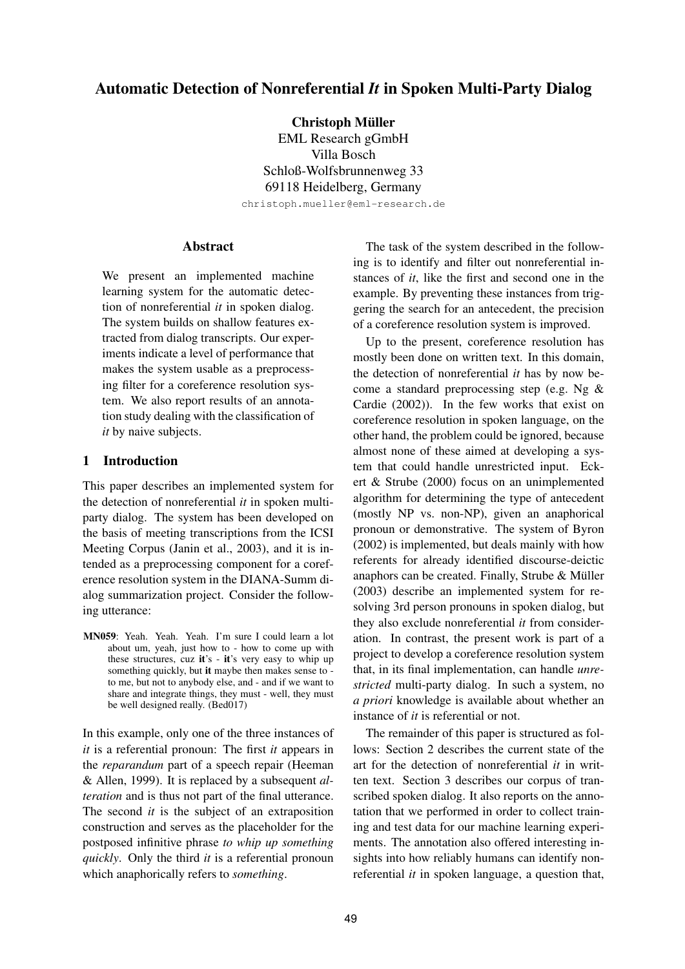# **Automatic Detection of Nonreferential** *It* **in Spoken Multi-Party Dialog**

**Christoph Muller ¨**

EML Research gGmbH Villa Bosch Schloß-Wolfsbrunnenweg 33 69118 Heidelberg, Germany christoph.mueller@eml-research.de

# **Abstract**

We present an implemented machine learning system for the automatic detection of nonreferential *it* in spoken dialog. The system builds on shallow features extracted from dialog transcripts. Our experiments indicate a level of performance that makes the system usable as a preprocessing filter for a coreference resolution system. We also report results of an annotation study dealing with the classification of *it* by naive subjects.

# **1 Introduction**

This paper describes an implemented system for the detection of nonreferential *it* in spoken multiparty dialog. The system has been developed on the basis of meeting transcriptions from the ICSI Meeting Corpus (Janin et al., 2003), and it is intended as a preprocessing component for a coreference resolution system in the DIANA-Summ dialog summarization project. Consider the following utterance:

**MN059**: Yeah. Yeah. Yeah. I'm sure I could learn a lot about um, yeah, just how to - how to come up with these structures, cuz **it**'s - **it**'s very easy to whip up something quickly, but **it** maybe then makes sense to to me, but not to anybody else, and - and if we want to share and integrate things, they must - well, they must be well designed really. (Bed017)

In this example, only one of the three instances of *it* is a referential pronoun: The first *it* appears in the *reparandum* part of a speech repair (Heeman & Allen, 1999). It is replaced by a subsequent *alteration* and is thus not part of the final utterance. The second *it* is the subject of an extraposition construction and serves as the placeholder for the postposed infinitive phrase *to whip up something quickly*. Only the third *it* is a referential pronoun which anaphorically refers to *something*.

The task of the system described in the following is to identify and filter out nonreferential instances of *it*, like the first and second one in the example. By preventing these instances from triggering the search for an antecedent, the precision of a coreference resolution system is improved.

Up to the present, coreference resolution has mostly been done on written text. In this domain, the detection of nonreferential *it* has by now become a standard preprocessing step (e.g. Ng & Cardie (2002)). In the few works that exist on coreference resolution in spoken language, on the other hand, the problem could be ignored, because almost none of these aimed at developing a system that could handle unrestricted input. Eckert & Strube (2000) focus on an unimplemented algorithm for determining the type of antecedent (mostly NP vs. non-NP), given an anaphorical pronoun or demonstrative. The system of Byron (2002) is implemented, but deals mainly with how referents for already identified discourse-deictic anaphors can be created. Finally, Strube  $&$  Müller (2003) describe an implemented system for resolving 3rd person pronouns in spoken dialog, but they also exclude nonreferential *it* from consideration. In contrast, the present work is part of a project to develop a coreference resolution system that, in its final implementation, can handle *unrestricted* multi-party dialog. In such a system, no *a priori* knowledge is available about whether an instance of *it* is referential or not.

The remainder of this paper is structured as follows: Section 2 describes the current state of the art for the detection of nonreferential *it* in written text. Section 3 describes our corpus of transcribed spoken dialog. It also reports on the annotation that we performed in order to collect training and test data for our machine learning experiments. The annotation also offered interesting insights into how reliably humans can identify nonreferential *it* in spoken language, a question that,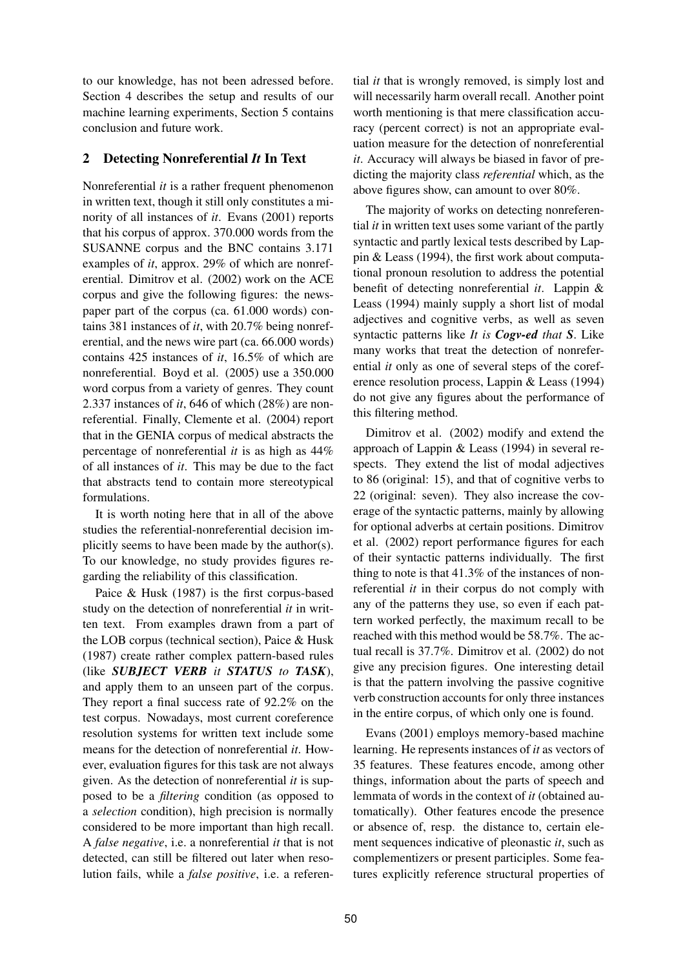to our knowledge, has not been adressed before. Section 4 describes the setup and results of our machine learning experiments, Section 5 contains conclusion and future work.

# **2 Detecting Nonreferential** *It* **In Text**

Nonreferential *it* is a rather frequent phenomenon in written text, though it still only constitutes a minority of all instances of *it*. Evans (2001) reports that his corpus of approx. 370.000 words from the SUSANNE corpus and the BNC contains 3.171 examples of *it*, approx. 29% of which are nonreferential. Dimitrov et al. (2002) work on the ACE corpus and give the following figures: the newspaper part of the corpus (ca. 61.000 words) contains 381 instances of *it*, with 20.7% being nonreferential, and the news wire part (ca. 66.000 words) contains 425 instances of *it*, 16.5% of which are nonreferential. Boyd et al. (2005) use a 350.000 word corpus from a variety of genres. They count 2.337 instances of *it*, 646 of which (28%) are nonreferential. Finally, Clemente et al. (2004) report that in the GENIA corpus of medical abstracts the percentage of nonreferential *it* is as high as 44% of all instances of *it*. This may be due to the fact that abstracts tend to contain more stereotypical formulations.

It is worth noting here that in all of the above studies the referential-nonreferential decision implicitly seems to have been made by the author(s). To our knowledge, no study provides figures regarding the reliability of this classification.

Paice & Husk (1987) is the first corpus-based study on the detection of nonreferential *it* in written text. From examples drawn from a part of the LOB corpus (technical section), Paice & Husk (1987) create rather complex pattern-based rules (like *SUBJECT VERB it STATUS to TASK*), and apply them to an unseen part of the corpus. They report a final success rate of 92.2% on the test corpus. Nowadays, most current coreference resolution systems for written text include some means for the detection of nonreferential *it*. However, evaluation figures for this task are not always given. As the detection of nonreferential *it* is supposed to be a *filtering* condition (as opposed to a *selection* condition), high precision is normally considered to be more important than high recall. A *false negative*, i.e. a nonreferential *it* that is not detected, can still be filtered out later when resolution fails, while a *false positive*, i.e. a referential *it* that is wrongly removed, is simply lost and will necessarily harm overall recall. Another point worth mentioning is that mere classification accuracy (percent correct) is not an appropriate evaluation measure for the detection of nonreferential *it*. Accuracy will always be biased in favor of predicting the majority class *referential* which, as the above figures show, can amount to over 80%.

The majority of works on detecting nonreferential *it* in written text uses some variant of the partly syntactic and partly lexical tests described by Lappin & Leass (1994), the first work about computational pronoun resolution to address the potential benefit of detecting nonreferential *it*. Lappin & Leass (1994) mainly supply a short list of modal adjectives and cognitive verbs, as well as seven syntactic patterns like *It is Cogv-ed that S*. Like many works that treat the detection of nonreferential *it* only as one of several steps of the coreference resolution process, Lappin & Leass (1994) do not give any figures about the performance of this filtering method.

Dimitrov et al. (2002) modify and extend the approach of Lappin & Leass (1994) in several respects. They extend the list of modal adjectives to 86 (original: 15), and that of cognitive verbs to 22 (original: seven). They also increase the coverage of the syntactic patterns, mainly by allowing for optional adverbs at certain positions. Dimitrov et al. (2002) report performance figures for each of their syntactic patterns individually. The first thing to note is that 41.3% of the instances of nonreferential *it* in their corpus do not comply with any of the patterns they use, so even if each pattern worked perfectly, the maximum recall to be reached with this method would be 58.7%. The actual recall is 37.7%. Dimitrov et al. (2002) do not give any precision figures. One interesting detail is that the pattern involving the passive cognitive verb construction accounts for only three instances in the entire corpus, of which only one is found.

Evans (2001) employs memory-based machine learning. He represents instances of *it* as vectors of 35 features. These features encode, among other things, information about the parts of speech and lemmata of words in the context of *it* (obtained automatically). Other features encode the presence or absence of, resp. the distance to, certain element sequences indicative of pleonastic *it*, such as complementizers or present participles. Some features explicitly reference structural properties of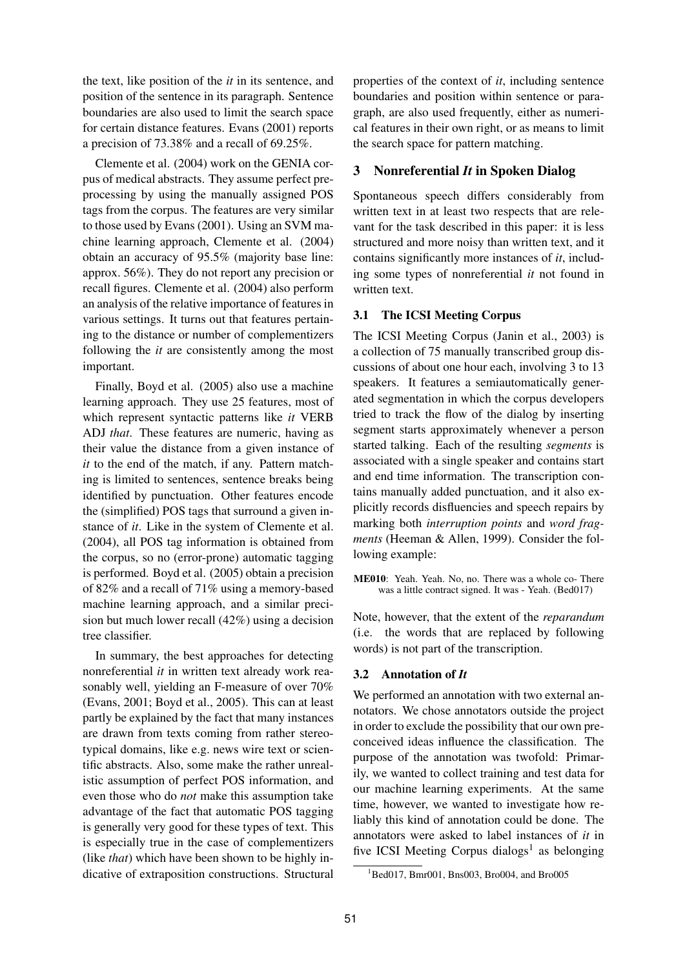the text, like position of the *it* in its sentence, and position of the sentence in its paragraph. Sentence boundaries are also used to limit the search space for certain distance features. Evans (2001) reports a precision of 73.38% and a recall of 69.25%.

Clemente et al. (2004) work on the GENIA corpus of medical abstracts. They assume perfect preprocessing by using the manually assigned POS tags from the corpus. The features are very similar to those used by Evans (2001). Using an SVM machine learning approach, Clemente et al. (2004) obtain an accuracy of 95.5% (majority base line: approx. 56%). They do not report any precision or recall figures. Clemente et al. (2004) also perform an analysis of the relative importance of features in various settings. It turns out that features pertaining to the distance or number of complementizers following the *it* are consistently among the most important.

Finally, Boyd et al. (2005) also use a machine learning approach. They use 25 features, most of which represent syntactic patterns like *it* VERB ADJ *that*. These features are numeric, having as their value the distance from a given instance of *it* to the end of the match, if any. Pattern matching is limited to sentences, sentence breaks being identified by punctuation. Other features encode the (simplified) POS tags that surround a given instance of *it*. Like in the system of Clemente et al. (2004), all POS tag information is obtained from the corpus, so no (error-prone) automatic tagging is performed. Boyd et al. (2005) obtain a precision of 82% and a recall of 71% using a memory-based machine learning approach, and a similar precision but much lower recall (42%) using a decision tree classifier.

In summary, the best approaches for detecting nonreferential *it* in written text already work reasonably well, yielding an F-measure of over 70% (Evans, 2001; Boyd et al., 2005). This can at least partly be explained by the fact that many instances are drawn from texts coming from rather stereotypical domains, like e.g. news wire text or scientific abstracts. Also, some make the rather unrealistic assumption of perfect POS information, and even those who do *not* make this assumption take advantage of the fact that automatic POS tagging is generally very good for these types of text. This is especially true in the case of complementizers (like *that*) which have been shown to be highly indicative of extraposition constructions. Structural

properties of the context of *it*, including sentence boundaries and position within sentence or paragraph, are also used frequently, either as numerical features in their own right, or as means to limit the search space for pattern matching.

# **3 Nonreferential** *It* **in Spoken Dialog**

Spontaneous speech differs considerably from written text in at least two respects that are relevant for the task described in this paper: it is less structured and more noisy than written text, and it contains significantly more instances of *it*, including some types of nonreferential *it* not found in written text.

## **3.1 The ICSI Meeting Corpus**

The ICSI Meeting Corpus (Janin et al., 2003) is a collection of 75 manually transcribed group discussions of about one hour each, involving 3 to 13 speakers. It features a semiautomatically generated segmentation in which the corpus developers tried to track the flow of the dialog by inserting segment starts approximately whenever a person started talking. Each of the resulting *segments* is associated with a single speaker and contains start and end time information. The transcription contains manually added punctuation, and it also explicitly records disfluencies and speech repairs by marking both *interruption points* and *word fragments* (Heeman & Allen, 1999). Consider the following example:

**ME010**: Yeah. Yeah. No, no. There was a whole co- There was a little contract signed. It was - Yeah. (Bed017)

Note, however, that the extent of the *reparandum* (i.e. the words that are replaced by following words) is not part of the transcription.

#### **3.2 Annotation of** *It*

We performed an annotation with two external annotators. We chose annotators outside the project in order to exclude the possibility that our own preconceived ideas influence the classification. The purpose of the annotation was twofold: Primarily, we wanted to collect training and test data for our machine learning experiments. At the same time, however, we wanted to investigate how reliably this kind of annotation could be done. The annotators were asked to label instances of *it* in five ICSI Meeting Corpus dialogs<sup>1</sup> as belonging

 $1$ Bed017, Bmr001, Bns003, Bro004, and Bro005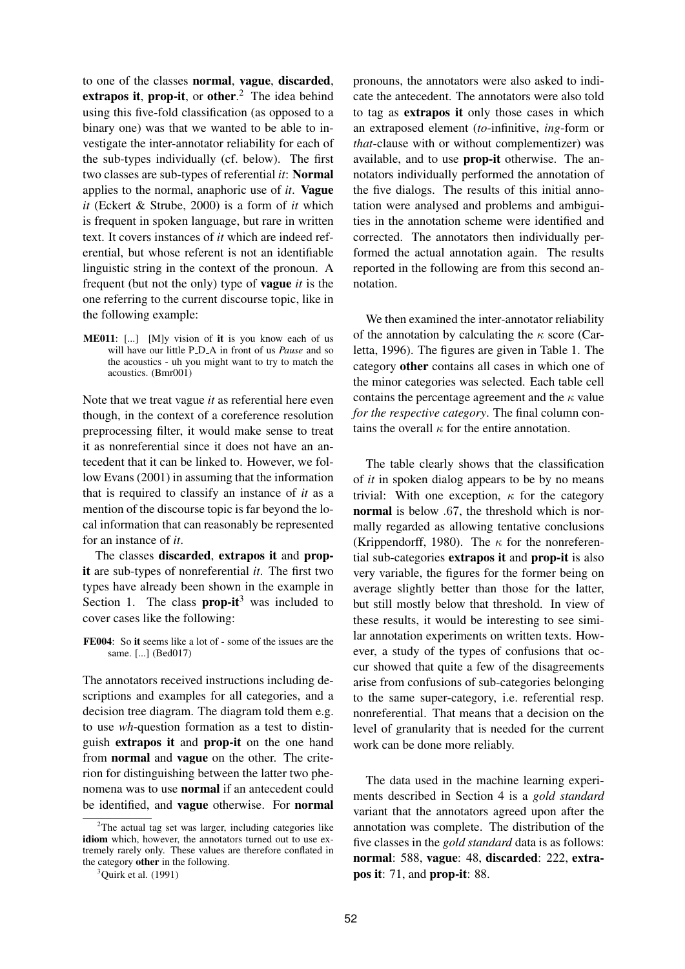to one of the classes **normal**, **vague**, **discarded**, **extrapos it**, **prop-it**, or **other**. <sup>2</sup> The idea behind using this five-fold classification (as opposed to a binary one) was that we wanted to be able to investigate the inter-annotator reliability for each of the sub-types individually (cf. below). The first two classes are sub-types of referential *it*: **Normal** applies to the normal, anaphoric use of *it*. **Vague** *it* (Eckert & Strube, 2000) is a form of *it* which is frequent in spoken language, but rare in written text. It covers instances of *it* which are indeed referential, but whose referent is not an identifiable linguistic string in the context of the pronoun. A frequent (but not the only) type of **vague** *it* is the one referring to the current discourse topic, like in the following example:

**ME011**: [...] [M]y vision of **it** is you know each of us will have our little P D A in front of us *Pause* and so the acoustics - uh you might want to try to match the acoustics. (Bmr001)

Note that we treat vague *it* as referential here even though, in the context of a coreference resolution preprocessing filter, it would make sense to treat it as nonreferential since it does not have an antecedent that it can be linked to. However, we follow Evans (2001) in assuming that the information that is required to classify an instance of *it* as a mention of the discourse topic is far beyond the local information that can reasonably be represented for an instance of *it*.

The classes **discarded**, **extrapos it** and **propit** are sub-types of nonreferential *it*. The first two types have already been shown in the example in Section 1. The class **prop-it**<sup>3</sup> was included to cover cases like the following:

**FE004**: So **it** seems like a lot of - some of the issues are the same. [...] (Bed017)

The annotators received instructions including descriptions and examples for all categories, and a decision tree diagram. The diagram told them e.g. to use *wh*-question formation as a test to distinguish **extrapos it** and **prop-it** on the one hand from **normal** and **vague** on the other. The criterion for distinguishing between the latter two phenomena was to use **normal** if an antecedent could be identified, and **vague** otherwise. For **normal** pronouns, the annotators were also asked to indicate the antecedent. The annotators were also told to tag as **extrapos it** only those cases in which an extraposed element (*to*-infinitive, *ing*-form or *that*-clause with or without complementizer) was available, and to use **prop-it** otherwise. The annotators individually performed the annotation of the five dialogs. The results of this initial annotation were analysed and problems and ambiguities in the annotation scheme were identified and corrected. The annotators then individually performed the actual annotation again. The results reported in the following are from this second annotation.

We then examined the inter-annotator reliability of the annotation by calculating the  $\kappa$  score (Carletta, 1996). The figures are given in Table 1. The category **other** contains all cases in which one of the minor categories was selected. Each table cell contains the percentage agreement and the  $\kappa$  value *for the respective category*. The final column contains the overall  $\kappa$  for the entire annotation.

The table clearly shows that the classification of *it* in spoken dialog appears to be by no means trivial: With one exception,  $\kappa$  for the category **normal** is below .67, the threshold which is normally regarded as allowing tentative conclusions (Krippendorff, 1980). The  $\kappa$  for the nonreferential sub-categories **extrapos it** and **prop-it** is also very variable, the figures for the former being on average slightly better than those for the latter, but still mostly below that threshold. In view of these results, it would be interesting to see similar annotation experiments on written texts. However, a study of the types of confusions that occur showed that quite a few of the disagreements arise from confusions of sub-categories belonging to the same super-category, i.e. referential resp. nonreferential. That means that a decision on the level of granularity that is needed for the current work can be done more reliably.

The data used in the machine learning experiments described in Section 4 is a *gold standard* variant that the annotators agreed upon after the annotation was complete. The distribution of the five classes in the *gold standard* data is as follows: **normal**: 588, **vague**: 48, **discarded**: 222, **extrapos it**: 71, and **prop-it**: 88.

 $2$ The actual tag set was larger, including categories like **idiom** which, however, the annotators turned out to use extremely rarely only. These values are therefore conflated in the category **other** in the following.

 $3$ Quirk et al. (1991)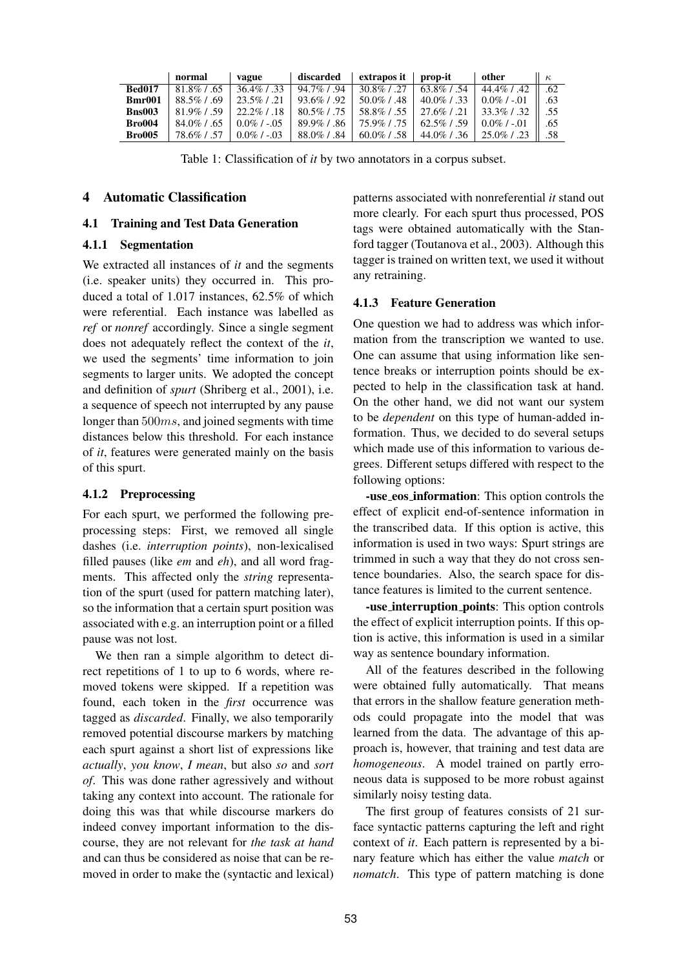|               | normal         | vague            | discarded      | extrapos it    | prop-it        | other            | $\kappa$ |
|---------------|----------------|------------------|----------------|----------------|----------------|------------------|----------|
| <b>Bed017</b> | $81.8\%$ / .65 | $36.4\%$ / .33   | $94.7\%$ / .94 | $30.8\%$ / .27 | $63.8\%$ / .54 | $44.4\%$ / .42   | .62      |
| Bmr001        | $88.5\%$ / .69 | $23.5\%$ / .21   | $93.6\%$ / .92 | $50.0\%$ / .48 | $40.0\%$ / .33 | $0.0\%$ / $-.01$ | .63      |
| <b>Bns003</b> | $81.9\%$ / 59  | $22.2\%$ / .18   | $80.5\%$ / .75 | 58.8%/.55      | $27.6\%$ / .21 | $33.3\%$ / .32   | .55      |
| <b>Bro004</b> | $84.0\%$ / .65 | $0.0\%$ / $-.05$ | $89.9\%$ / .86 | 75.9%/.75      | $62.5\%$ / .59 | $0.0\%$ / $-.01$ | .65      |
| <b>Bro005</b> | 78.6% L        | $0.0\%$ / $-.03$ | 88.0%/.84      | $60.0\%$ / .58 | $44.0\%$ / .36 | $25.0\%$ / .23   | .58      |

Table 1: Classification of *it* by two annotators in a corpus subset.

## **4 Automatic Classification**

#### **4.1 Training and Test Data Generation**

# **4.1.1 Segmentation**

We extracted all instances of *it* and the segments (i.e. speaker units) they occurred in. This produced a total of 1.017 instances, 62.5% of which were referential. Each instance was labelled as *ref* or *nonref* accordingly. Since a single segment does not adequately reflect the context of the *it*, we used the segments' time information to join segments to larger units. We adopted the concept and definition of *spurt* (Shriberg et al., 2001), i.e. a sequence of speech not interrupted by any pause longer than 500ms, and joined segments with time distances below this threshold. For each instance of *it*, features were generated mainly on the basis of this spurt.

#### **4.1.2 Preprocessing**

For each spurt, we performed the following preprocessing steps: First, we removed all single dashes (i.e. *interruption points*), non-lexicalised filled pauses (like *em* and *eh*), and all word fragments. This affected only the *string* representation of the spurt (used for pattern matching later), so the information that a certain spurt position was associated with e.g. an interruption point or a filled pause was not lost.

We then ran a simple algorithm to detect direct repetitions of 1 to up to 6 words, where removed tokens were skipped. If a repetition was found, each token in the *first* occurrence was tagged as *discarded*. Finally, we also temporarily removed potential discourse markers by matching each spurt against a short list of expressions like *actually*, *you know*, *I mean*, but also *so* and *sort of*. This was done rather agressively and without taking any context into account. The rationale for doing this was that while discourse markers do indeed convey important information to the discourse, they are not relevant for *the task at hand* and can thus be considered as noise that can be removed in order to make the (syntactic and lexical) patterns associated with nonreferential *it* stand out more clearly. For each spurt thus processed, POS tags were obtained automatically with the Stanford tagger (Toutanova et al., 2003). Although this tagger is trained on written text, we used it without any retraining.

#### **4.1.3 Feature Generation**

One question we had to address was which information from the transcription we wanted to use. One can assume that using information like sentence breaks or interruption points should be expected to help in the classification task at hand. On the other hand, we did not want our system to be *dependent* on this type of human-added information. Thus, we decided to do several setups which made use of this information to various degrees. Different setups differed with respect to the following options:

**-use eos information**: This option controls the effect of explicit end-of-sentence information in the transcribed data. If this option is active, this information is used in two ways: Spurt strings are trimmed in such a way that they do not cross sentence boundaries. Also, the search space for distance features is limited to the current sentence.

**-use interruption points**: This option controls the effect of explicit interruption points. If this option is active, this information is used in a similar way as sentence boundary information.

All of the features described in the following were obtained fully automatically. That means that errors in the shallow feature generation methods could propagate into the model that was learned from the data. The advantage of this approach is, however, that training and test data are *homogeneous*. A model trained on partly erroneous data is supposed to be more robust against similarly noisy testing data.

The first group of features consists of 21 surface syntactic patterns capturing the left and right context of *it*. Each pattern is represented by a binary feature which has either the value *match* or *nomatch*. This type of pattern matching is done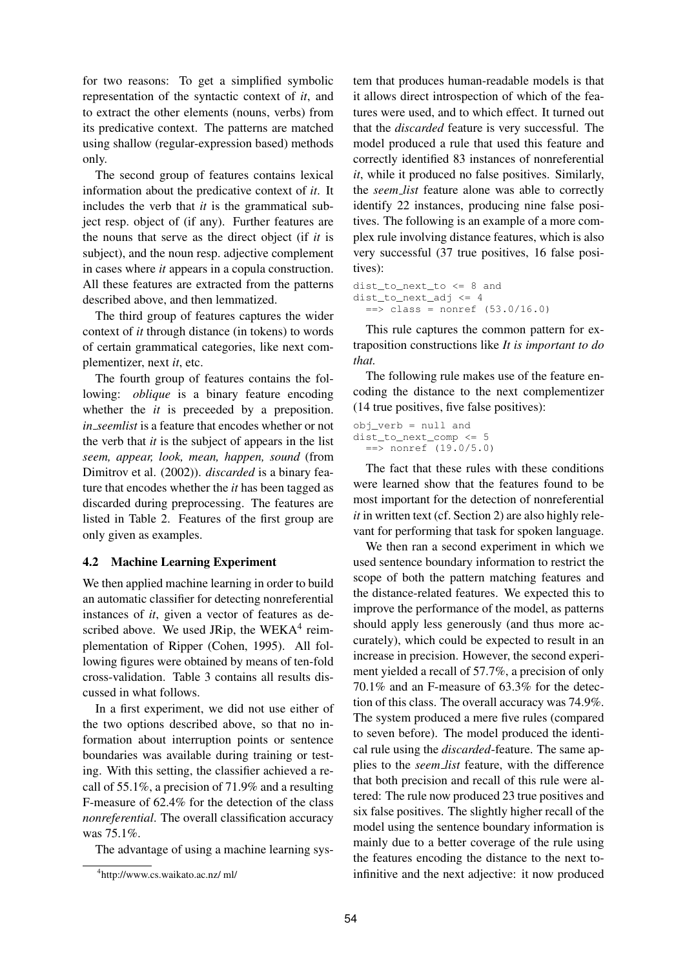for two reasons: To get a simplified symbolic representation of the syntactic context of *it*, and to extract the other elements (nouns, verbs) from its predicative context. The patterns are matched using shallow (regular-expression based) methods only.

The second group of features contains lexical information about the predicative context of *it*. It includes the verb that *it* is the grammatical subject resp. object of (if any). Further features are the nouns that serve as the direct object (if *it* is subject), and the noun resp. adjective complement in cases where *it* appears in a copula construction. All these features are extracted from the patterns described above, and then lemmatized.

The third group of features captures the wider context of *it* through distance (in tokens) to words of certain grammatical categories, like next complementizer, next *it*, etc.

The fourth group of features contains the following: *oblique* is a binary feature encoding whether the *it* is preceeded by a preposition. *in seemlist* is a feature that encodes whether or not the verb that *it* is the subject of appears in the list *seem, appear, look, mean, happen, sound* (from Dimitrov et al. (2002)). *discarded* is a binary feature that encodes whether the *it* has been tagged as discarded during preprocessing. The features are listed in Table 2. Features of the first group are only given as examples.

## **4.2 Machine Learning Experiment**

We then applied machine learning in order to build an automatic classifier for detecting nonreferential instances of *it*, given a vector of features as described above. We used JRip, the WEKA $4$  reimplementation of Ripper (Cohen, 1995). All following figures were obtained by means of ten-fold cross-validation. Table 3 contains all results discussed in what follows.

In a first experiment, we did not use either of the two options described above, so that no information about interruption points or sentence boundaries was available during training or testing. With this setting, the classifier achieved a recall of 55.1%, a precision of 71.9% and a resulting F-measure of 62.4% for the detection of the class *nonreferential*. The overall classification accuracy was 75.1%.

The advantage of using a machine learning sys-

tem that produces human-readable models is that it allows direct introspection of which of the features were used, and to which effect. It turned out that the *discarded* feature is very successful. The model produced a rule that used this feature and correctly identified 83 instances of nonreferential *it*, while it produced no false positives. Similarly, the *seem list* feature alone was able to correctly identify 22 instances, producing nine false positives. The following is an example of a more complex rule involving distance features, which is also very successful (37 true positives, 16 false positives):

```
dist_to_next_to <= 8 and
dist_to_next_adj <= 4
  \Rightarrow class = nonref (53.0/16.0)
```
This rule captures the common pattern for extraposition constructions like *It is important to do that.*

The following rule makes use of the feature encoding the distance to the next complementizer (14 true positives, five false positives):

obj\_verb = null and dist\_to\_next\_comp <= 5 ==> nonref (19.0/5.0)

The fact that these rules with these conditions were learned show that the features found to be most important for the detection of nonreferential *it* in written text (cf. Section 2) are also highly relevant for performing that task for spoken language.

We then ran a second experiment in which we used sentence boundary information to restrict the scope of both the pattern matching features and the distance-related features. We expected this to improve the performance of the model, as patterns should apply less generously (and thus more accurately), which could be expected to result in an increase in precision. However, the second experiment yielded a recall of 57.7%, a precision of only 70.1% and an F-measure of 63.3% for the detection of this class. The overall accuracy was 74.9%. The system produced a mere five rules (compared to seven before). The model produced the identical rule using the *discarded*-feature. The same applies to the *seem list* feature, with the difference that both precision and recall of this rule were altered: The rule now produced 23 true positives and six false positives. The slightly higher recall of the model using the sentence boundary information is mainly due to a better coverage of the rule using the features encoding the distance to the next toinfinitive and the next adjective: it now produced

<sup>4</sup> http://www.cs.waikato.ac.nz/ ml/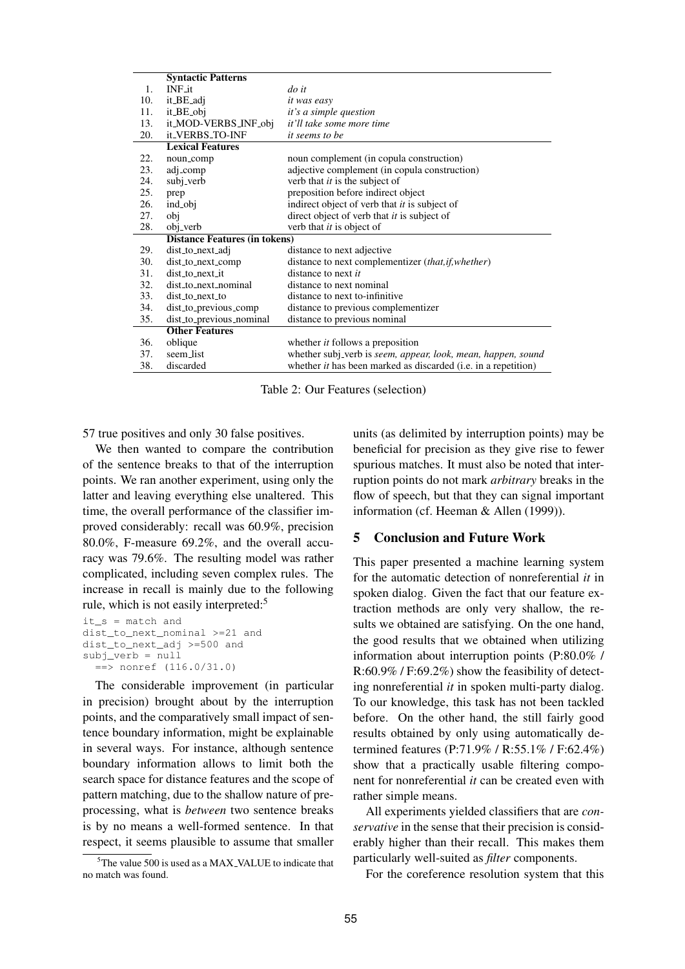|     | <b>Syntactic Patterns</b>            |                                                                               |  |  |  |  |
|-----|--------------------------------------|-------------------------------------------------------------------------------|--|--|--|--|
| 1.  | $INF_1$ it                           | $\frac{d}{dt}$                                                                |  |  |  |  |
| 10. | it_BE_adj                            | <i>it was easy</i>                                                            |  |  |  |  |
| 11. | it_BE_obj                            | it's a simple question                                                        |  |  |  |  |
| 13. | it_MOD-VERBS_INF_obj                 | it'll take some more time                                                     |  |  |  |  |
| 20. | it_VERBS_TO-INF                      | <i>it seems to be</i>                                                         |  |  |  |  |
|     | <b>Lexical Features</b>              |                                                                               |  |  |  |  |
| 22. | noun_comp                            | noun complement (in copula construction)                                      |  |  |  |  |
| 23. | adj_comp                             | adjective complement (in copula construction)                                 |  |  |  |  |
| 24. | subj_verb                            | verb that it is the subject of                                                |  |  |  |  |
| 25. | prep                                 | preposition before indirect object                                            |  |  |  |  |
| 26. | ind_obj                              | indirect object of verb that <i>it</i> is subject of                          |  |  |  |  |
| 27. | obj                                  | direct object of verb that <i>it</i> is subject of                            |  |  |  |  |
| 28. | obj_verb                             | verb that it is object of                                                     |  |  |  |  |
|     | <b>Distance Features (in tokens)</b> |                                                                               |  |  |  |  |
| 29. | dist_to_next_adj                     | distance to next adjective                                                    |  |  |  |  |
| 30. | dist_to_next_comp                    | distance to next complementizer (that, if, whether)                           |  |  |  |  |
| 31. | dist to next it                      | distance to next it                                                           |  |  |  |  |
| 32. | dist_to_next_nominal                 | distance to next nominal                                                      |  |  |  |  |
| 33. | $dist_to_next_to$                    | distance to next to-infinitive                                                |  |  |  |  |
| 34. | dist_to_previous_comp                | distance to previous complementizer                                           |  |  |  |  |
| 35. | dist_to_previous_nominal             | distance to previous nominal                                                  |  |  |  |  |
|     | <b>Other Features</b>                |                                                                               |  |  |  |  |
| 36. | oblique                              | whether <i>it</i> follows a preposition                                       |  |  |  |  |
| 37. | seem_list                            | whether subj_verb is seem, appear, look, mean, happen, sound                  |  |  |  |  |
| 38. | discarded                            | whether <i>it</i> has been marked as discarded ( <i>i.e.</i> in a repetition) |  |  |  |  |

Table 2: Our Features (selection)

57 true positives and only 30 false positives.

We then wanted to compare the contribution of the sentence breaks to that of the interruption points. We ran another experiment, using only the latter and leaving everything else unaltered. This time, the overall performance of the classifier improved considerably: recall was 60.9%, precision 80.0%, F-measure 69.2%, and the overall accuracy was 79.6%. The resulting model was rather complicated, including seven complex rules. The increase in recall is mainly due to the following rule, which is not easily interpreted:<sup>5</sup>

```
it_s = match and
dist_to_next_nominal >=21 and
dist_to_next_adj >=500 and
subj_verb = null
  ==> nonref (116.0/31.0)
```
The considerable improvement (in particular in precision) brought about by the interruption points, and the comparatively small impact of sentence boundary information, might be explainable in several ways. For instance, although sentence boundary information allows to limit both the search space for distance features and the scope of pattern matching, due to the shallow nature of preprocessing, what is *between* two sentence breaks is by no means a well-formed sentence. In that respect, it seems plausible to assume that smaller units (as delimited by interruption points) may be beneficial for precision as they give rise to fewer spurious matches. It must also be noted that interruption points do not mark *arbitrary* breaks in the flow of speech, but that they can signal important information (cf. Heeman & Allen (1999)).

## **5 Conclusion and Future Work**

This paper presented a machine learning system for the automatic detection of nonreferential *it* in spoken dialog. Given the fact that our feature extraction methods are only very shallow, the results we obtained are satisfying. On the one hand, the good results that we obtained when utilizing information about interruption points (P:80.0% / R:60.9% / F:69.2%) show the feasibility of detecting nonreferential *it* in spoken multi-party dialog. To our knowledge, this task has not been tackled before. On the other hand, the still fairly good results obtained by only using automatically determined features (P:71.9% / R:55.1% / F:62.4%) show that a practically usable filtering component for nonreferential *it* can be created even with rather simple means.

All experiments yielded classifiers that are *conservative* in the sense that their precision is considerably higher than their recall. This makes them particularly well-suited as *filter* components.

For the coreference resolution system that this

 $5$ The value 500 is used as a MAX\_VALUE to indicate that no match was found.